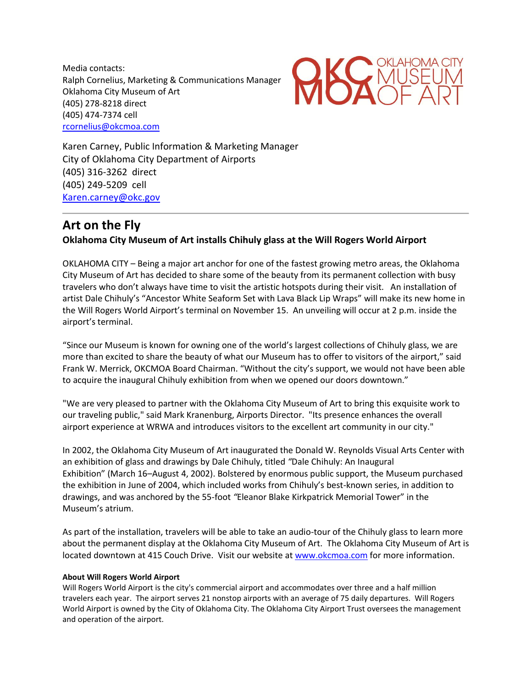Media contacts: Ralph Cornelius, Marketing & Communications Manager Oklahoma City Museum of Art (405) 278-8218 direct (405) 474-7374 cell [rcornelius@okcmoa.com](mailto:rcornelius@okcmoa.com?subject=Veteran)



Karen Carney, Public Information & Marketing Manager City of Oklahoma City Department of Airports (405) 316-3262 direct (405) 249-5209 cell [Karen.carney@okc.gov](mailto:Karen.carney@okc.gov)

## **Art on the Fly**

## **Oklahoma City Museum of Art installs Chihuly glass at the Will Rogers World Airport**

OKLAHOMA CITY – Being a major art anchor for one of the fastest growing metro areas, the Oklahoma City Museum of Art has decided to share some of the beauty from its permanent collection with busy travelers who don't always have time to visit the artistic hotspots during their visit. An installation of artist Dale Chihuly's "Ancestor White Seaform Set with Lava Black Lip Wraps" will make its new home in the Will Rogers World Airport's terminal on November 15. An unveiling will occur at 2 p.m. inside the airport's terminal.

"Since our Museum is known for owning one of the world's largest collections of Chihuly glass, we are more than excited to share the beauty of what our Museum has to offer to visitors of the airport," said Frank W. Merrick, OKCMOA Board Chairman. "Without the city's support, we would not have been able to acquire the inaugural Chihuly exhibition from when we opened our doors downtown."

"We are very pleased to partner with the Oklahoma City Museum of Art to bring this exquisite work to our traveling public," said Mark Kranenburg, Airports Director. "Its presence enhances the overall airport experience at WRWA and introduces visitors to the excellent art community in our city."

In 2002, the Oklahoma City Museum of Art inaugurated the Donald W. Reynolds Visual Arts Center with an exhibition of glass and drawings by Dale Chihuly, titled *"*Dale Chihuly: An Inaugural Exhibition" (March 16–August 4, 2002). Bolstered by enormous public support, the Museum purchased the exhibition in June of 2004, which included works from Chihuly's best-known series, in addition to drawings, and was anchored by the 55-foot *"*Eleanor Blake Kirkpatrick Memorial Tower" in the Museum's atrium.

As part of the installation, travelers will be able to take an audio-tour of the Chihuly glass to learn more about the permanent display at the Oklahoma City Museum of Art. The Oklahoma City Museum of Art is located downtown at 415 Couch Drive. Visit our website a[t www.okcmoa.com](http://www.okcmoa.com/) for more information.

## **About Will Rogers World Airport**

Will Rogers World Airport is the city's commercial airport and accommodates over three and a half million travelers each year. The airport serves 21 nonstop airports with an average of 75 daily departures. Will Rogers World Airport is owned by the City of Oklahoma City. The Oklahoma City Airport Trust oversees the management and operation of the airport.